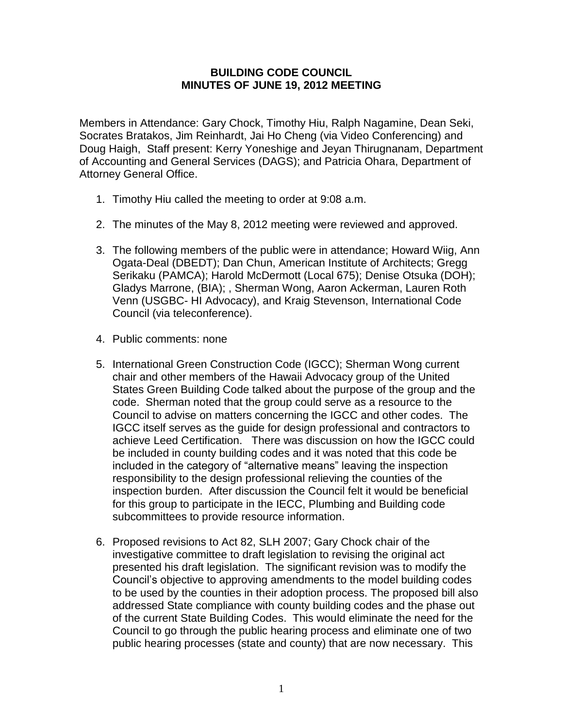## **BUILDING CODE COUNCIL MINUTES OF JUNE 19, 2012 MEETING**

Members in Attendance: Gary Chock, Timothy Hiu, Ralph Nagamine, Dean Seki, Socrates Bratakos, Jim Reinhardt, Jai Ho Cheng (via Video Conferencing) and Doug Haigh, Staff present: Kerry Yoneshige and Jeyan Thirugnanam, Department of Accounting and General Services (DAGS); and Patricia Ohara, Department of Attorney General Office.

- 1. Timothy Hiu called the meeting to order at 9:08 a.m.
- 2. The minutes of the May 8, 2012 meeting were reviewed and approved.
- 3. The following members of the public were in attendance; Howard Wiig, Ann Ogata-Deal (DBEDT); Dan Chun, American Institute of Architects; Gregg Serikaku (PAMCA); Harold McDermott (Local 675); Denise Otsuka (DOH); Gladys Marrone, (BIA); , Sherman Wong, Aaron Ackerman, Lauren Roth Venn (USGBC- HI Advocacy), and Kraig Stevenson, International Code Council (via teleconference).
- 4. Public comments: none
- 5. International Green Construction Code (IGCC); Sherman Wong current chair and other members of the Hawaii Advocacy group of the United States Green Building Code talked about the purpose of the group and the code. Sherman noted that the group could serve as a resource to the Council to advise on matters concerning the IGCC and other codes. The IGCC itself serves as the guide for design professional and contractors to achieve Leed Certification. There was discussion on how the IGCC could be included in county building codes and it was noted that this code be included in the category of "alternative means" leaving the inspection responsibility to the design professional relieving the counties of the inspection burden. After discussion the Council felt it would be beneficial for this group to participate in the IECC, Plumbing and Building code subcommittees to provide resource information.
- 6. Proposed revisions to Act 82, SLH 2007; Gary Chock chair of the investigative committee to draft legislation to revising the original act presented his draft legislation. The significant revision was to modify the Council's objective to approving amendments to the model building codes to be used by the counties in their adoption process. The proposed bill also addressed State compliance with county building codes and the phase out of the current State Building Codes. This would eliminate the need for the Council to go through the public hearing process and eliminate one of two public hearing processes (state and county) that are now necessary. This